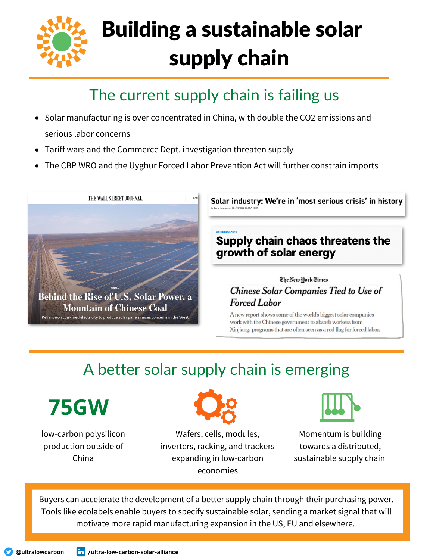

## Building a sustainable solar supply chain

#### The current supply chain is failing us

- Solar manufacturing is over concentrated in China, with double the CO2 emissions and serious labor concerns
- Tariff wars and the Commerce Dept. investigation threaten supply
- The CBP WRO and the Uyghur Forced Labor Prevention Act will further constrain imports



Solar industry: We're in 'most serious crisis' in history

#### Supply chain chaos threatens the growth of solar energy

The New York Times **Chinese Solar Companies Tied to Use of Forced Labor** 

A new report shows some of the world's biggest solar companies work with the Chinese government to absorb workers from Xinjiang, programs that are often seen as a red flag for forced labor.

### A better solar supply chain is emerging



low-carbon polysilicon production outside of China



Wafers, cells, modules, inverters, racking, and trackers expanding in low-carbon economies



Momentum is building towards a distributed, sustainable supply chain

Buyers can accelerate the development of a better supply chain through their purchasing power. Tools like ecolabels enable buyers to specify sustainable solar, sending a market signal that will motivate more rapid manufacturing expansion in the US, EU and elsewhere.